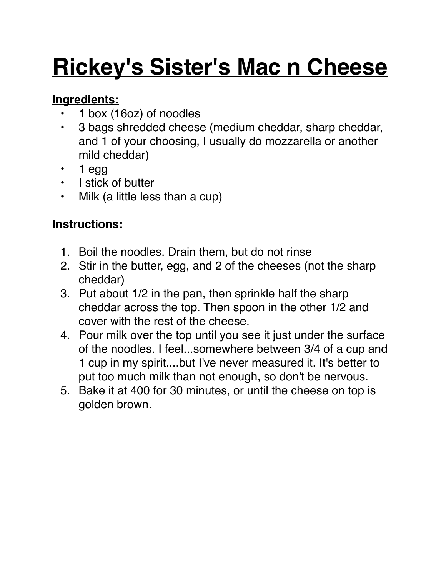# **Rickey's Sister's Mac n Cheese**

### **Ingredients:**

- 1 box (16oz) of noodles
- 3 bags shredded cheese (medium cheddar, sharp cheddar, and 1 of your choosing, I usually do mozzarella or another mild cheddar)
- 1 egg
- I stick of butter
- Milk (a little less than a cup)

### **Instructions:**

- 1. Boil the noodles. Drain them, but do not rinse
- 2. Stir in the butter, egg, and 2 of the cheeses (not the sharp cheddar)
- 3. Put about 1/2 in the pan, then sprinkle half the sharp cheddar across the top. Then spoon in the other 1/2 and cover with the rest of the cheese.
- 4. Pour milk over the top until you see it just under the surface of the noodles. I feel...somewhere between 3/4 of a cup and 1 cup in my spirit....but I've never measured it. It's better to put too much milk than not enough, so don't be nervous.
- 5. Bake it at 400 for 30 minutes, or until the cheese on top is golden brown.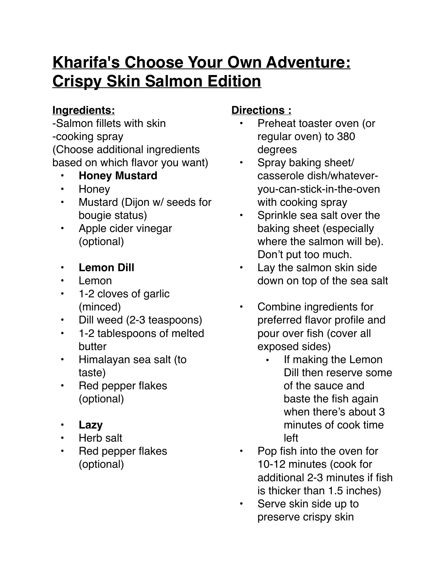### **Kharifa's Choose Your Own Adventure: Crispy Skin Salmon Edition**

### **Ingredients:**

-Salmon fillets with skin -cooking spray (Choose additional ingredients based on which flavor you want)

- **Honey Mustard**
- Honey
- Mustard (Dijon w/ seeds for bougie status)
- Apple cider vinegar (optional)
- **Lemon Dill**
- Lemon
- 1-2 cloves of garlic (minced)
- Dill weed (2-3 teaspoons)
- 1-2 tablespoons of melted butter
- Himalayan sea salt (to taste)
- Red pepper flakes (optional)
- **Lazy**
- Herb salt
- Red pepper flakes (optional)

### **Directions :**

- Preheat toaster oven (or regular oven) to 380 degrees
- Spray baking sheet/ casserole dish/whateveryou-can-stick-in-the-oven with cooking spray
- Sprinkle sea salt over the baking sheet (especially where the salmon will be). Don't put too much.
- Lay the salmon skin side down on top of the sea salt
- Combine ingredients for preferred flavor profile and pour over fish (cover all exposed sides)
	- If making the Lemon Dill then reserve some of the sauce and baste the fish again when there's about 3 minutes of cook time left
- Pop fish into the oven for 10-12 minutes (cook for additional 2-3 minutes if fish is thicker than 1.5 inches)
- Serve skin side up to preserve crispy skin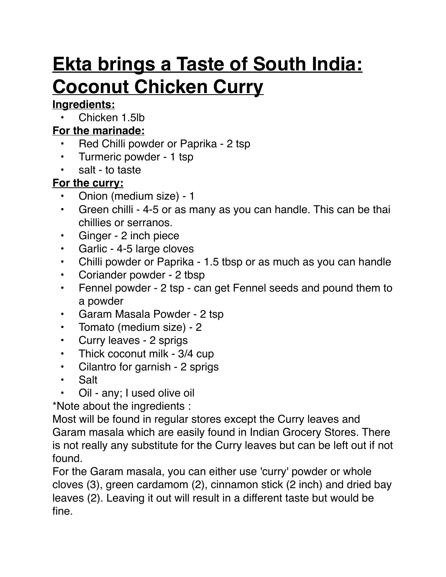### **Ekta brings a Taste of South India: Coconut Chicken Curry**

### **Ingredients:**

Chicken 1.5lb

### **For the marinade:**

- Red Chilli powder or Paprika 2 tsp
- Turmeric powder 1 tsp
- salt to taste

### **For the curry:**

- Onion (medium size) 1
- Green chilli 4-5 or as many as you can handle. This can be thai chillies or serranos.
- Ginger 2 inch piece
- Garlic 4-5 large cloves
- Chilli powder or Paprika 1.5 tbsp or as much as you can handle
- Coriander powder 2 tbsp
- Fennel powder 2 tsp can get Fennel seeds and pound them to a powder
- Garam Masala Powder 2 tsp
- Tomato (medium size) 2
- Curry leaves 2 sprigs
- Thick coconut milk 3/4 cup
- Cilantro for garnish 2 sprigs
- Salt
- Oil any; I used olive oil

\*Note about the ingredients :

Most will be found in regular stores except the Curry leaves and Garam masala which are easily found in Indian Grocery Stores. There is not really any substitute for the Curry leaves but can be left out if not found.

For the Garam masala, you can either use 'curry' powder or whole cloves (3), green cardamom (2), cinnamon stick (2 inch) and dried bay leaves (2). Leaving it out will result in a different taste but would be fine.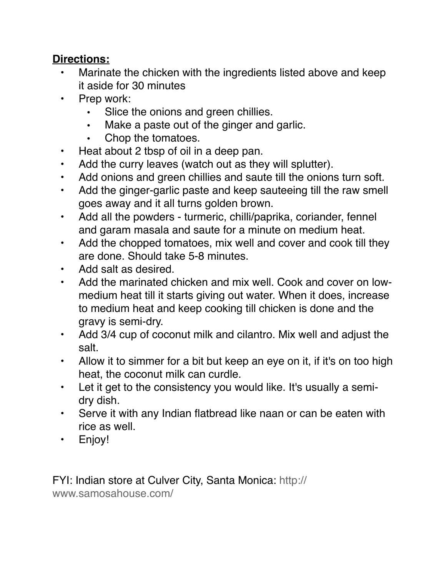#### **Directions:**

- Marinate the chicken with the ingredients listed above and keep it aside for 30 minutes
- Prep work:
	- Slice the onions and green chillies.
	- Make a paste out of the ginger and garlic.
	- Chop the tomatoes.
- Heat about 2 tbsp of oil in a deep pan.
- Add the curry leaves (watch out as they will splutter).
- Add onions and green chillies and saute till the onions turn soft.
- Add the ginger-garlic paste and keep sauteeing till the raw smell goes away and it all turns golden brown.
- Add all the powders turmeric, chilli/paprika, coriander, fennel and garam masala and saute for a minute on medium heat.
- Add the chopped tomatoes, mix well and cover and cook till they are done. Should take 5-8 minutes.
- Add salt as desired.
- Add the marinated chicken and mix well. Cook and cover on lowmedium heat till it starts giving out water. When it does, increase to medium heat and keep cooking till chicken is done and the gravy is semi-dry.
- Add 3/4 cup of coconut milk and cilantro. Mix well and adjust the salt.
- Allow it to simmer for a bit but keep an eye on it, if it's on too high heat, the coconut milk can curdle.
- Let it get to the consistency you would like. It's usually a semidry dish.
- Serve it with any Indian flatbread like naan or can be eaten with rice as well.
- Enjoy!

FYI: Indian store at Culver City, Santa Monica: [http://](http://www.samosahouse.com/) [www.samosahouse.com/](http://www.samosahouse.com/)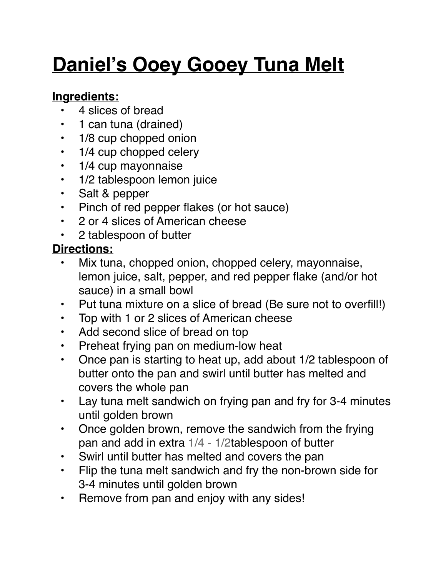### **Daniel's Ooey Gooey Tuna Melt**

### **Ingredients:**

- 4 slices of bread
- 1 can tuna (drained)
- 1/8 cup chopped onion
- 1/4 cup chopped celery
- 1/4 cup mayonnaise
- 1/2 tablespoon lemon juice
- Salt & pepper
- Pinch of red pepper flakes (or hot sauce)
- 2 or 4 slices of American cheese
- 2 tablespoon of butter

### **Directions:**

- Mix tuna, chopped onion, chopped celery, mayonnaise, lemon juice, salt, pepper, and red pepper flake (and/or hot sauce) in a small bowl
- Put tuna mixture on a slice of bread (Be sure not to overfill!)
- Top with 1 or 2 slices of American cheese
- Add second slice of bread on top
- Preheat frying pan on medium-low heat
- Once pan is starting to heat up, add about 1/2 tablespoon of butter onto the pan and swirl until butter has melted and covers the whole pan
- Lay tuna melt sandwich on frying pan and fry for 3-4 minutes until golden brown
- Once golden brown, remove the sandwich from the frying pan and add in extra [1/4 - 1/2](x-apple-data-detectors://0)tablespoon of butter
- Swirl until butter has melted and covers the pan
- Flip the tuna melt sandwich and fry the non-brown side for 3-4 minutes until golden brown
- Remove from pan and enjoy with any sides!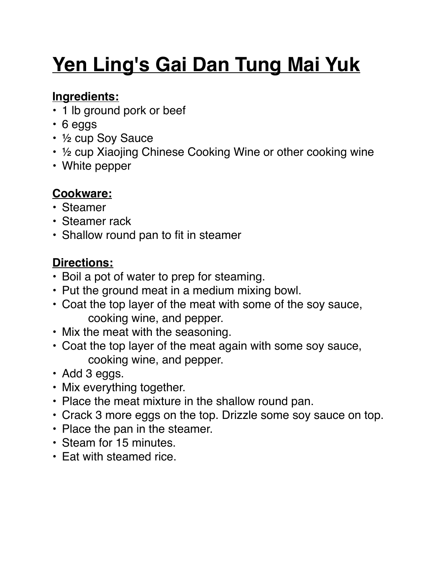## **Yen Ling's Gai Dan Tung Mai Yuk**

### **Ingredients:**

- 1 lb ground pork or beef
- 6 eggs
- ½ cup Soy Sauce
- ½ cup Xiaojing Chinese Cooking Wine or other cooking wine
- White pepper

### **Cookware:**

- Steamer
- Steamer rack
- Shallow round pan to fit in steamer

### **Directions:**

- Boil a pot of water to prep for steaming.
- Put the ground meat in a medium mixing bowl.
- Coat the top layer of the meat with some of the soy sauce, cooking wine, and pepper.
- Mix the meat with the seasoning.
- Coat the top layer of the meat again with some soy sauce, cooking wine, and pepper.
- Add 3 eggs.
- Mix everything together.
- Place the meat mixture in the shallow round pan.
- Crack 3 more eggs on the top. Drizzle some soy sauce on top.
- Place the pan in the steamer.
- Steam for 15 minutes.
- Eat with steamed rice.